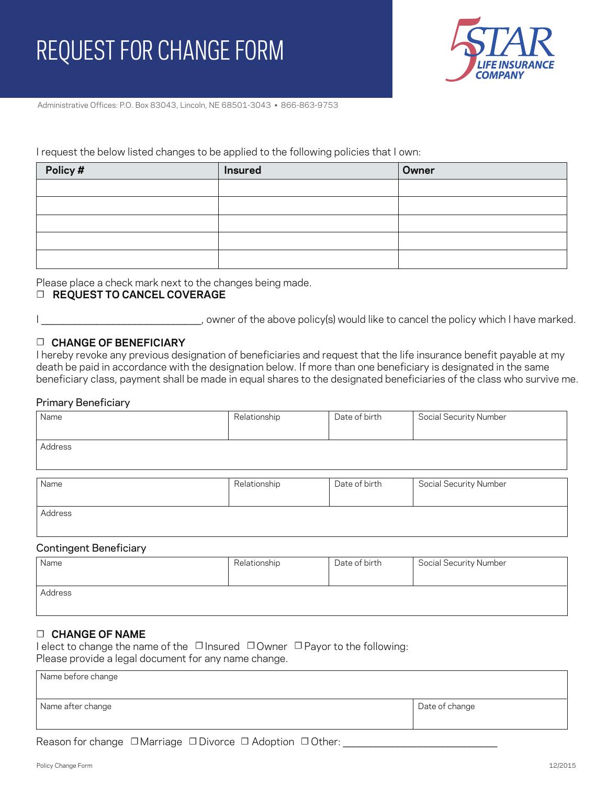

Administrative Offices: P.O. Box 83043, Lincoln, NE 68501-3043 • 866-863-9753

#### I request the below listed changes to be applied to the following policies that I own:

| Policy # | <b>Insured</b> | Owner |
|----------|----------------|-------|
|          |                |       |
|          |                |       |
|          |                |       |
|          |                |       |
|          |                |       |

Please place a check mark next to the changes being made.

# **REQUEST TO CANCEL COVERAGE ☐**

I \_\_\_\_\_\_\_\_\_\_\_\_\_\_\_\_\_\_\_\_\_\_\_\_\_\_\_\_, owner of the above policy(s) would like to cancel the policy which I have marked.

# **CHANGE OF BENEFICIARY ☐**

I hereby revoke any previous designation of beneficiaries and request that the life insurance benefit payable at my death be paid in accordance with the designation below. If more than one beneficiary is designated in the same beneficiary class, payment shall be made in equal shares to the designated beneficiaries of the class who survive me.

### Primary Beneficiary

| Name    | Relationship | Date of birth | Social Security Number |
|---------|--------------|---------------|------------------------|
| Address |              |               |                        |
| Name    | Relationship | Date of birth | Social Security Number |
| Address |              |               |                        |

#### Contingent Beneficiary

| Name    | Relationship | Date of birth | Social Security Number |
|---------|--------------|---------------|------------------------|
| Address |              |               |                        |

### **CHANGE OF NAME ☐**

**I** elect to change the name of the □ Insured □ Owner □ Payor to the following: Please provide a legal document for any name change.

| Name before change             |                |
|--------------------------------|----------------|
| Name after change              | Date of change |
| $\overline{\phantom{a}}$<br>-- |                |

Reason for change □Marriage □Divorce □ Adoption □Other: \_\_\_\_\_\_\_\_\_\_\_\_\_\_\_\_\_\_\_\_\_\_\_\_